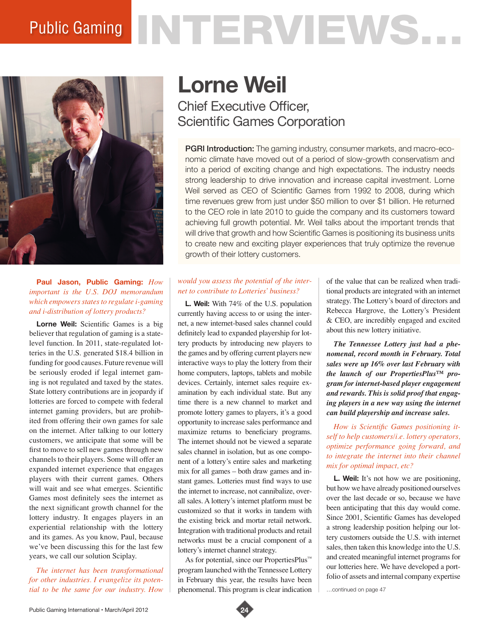# Public Gaming NTERVIEWS...



**Paul Jason, Public Gaming:** *How important is the U.S. DOJ memorandum which empowers states to regulate i-gaming and i-distribution of lottery products?* 

**Lorne Weil:** Scientific Games is a big believer that regulation of gaming is a statelevel function. In 2011, state-regulated lotteries in the U.S. generated \$18.4 billion in funding for good causes. Future revenue will be seriously eroded if legal internet gaming is not regulated and taxed by the states. State lottery contributions are in jeopardy if lotteries are forced to compete with federal internet gaming providers, but are prohibited from offering their own games for sale on the internet. After talking to our lottery customers, we anticipate that some will be first to move to sell new games through new channels to their players. Some will offer an expanded internet experience that engages players with their current games. Others will wait and see what emerges. Scientific Games most definitely sees the internet as the next significant growth channel for the lottery industry. It engages players in an experiential relationship with the lottery and its games. As you know, Paul, because we've been discussing this for the last few years, we call our solution Sciplay.

*The internet has been transformational for other industries. I evangelize its potential to be the same for our industry. How* 

# **Lorne Weil**

## Chief Executive Officer, Scientific Games Corporation

PGRI Introduction: The gaming industry, consumer markets, and macro-economic climate have moved out of a period of slow-growth conservatism and into a period of exciting change and high expectations. The industry needs strong leadership to drive innovation and increase capital investment. Lorne Weil served as CEO of Scientific Games from 1992 to 2008, during which time revenues grew from just under \$50 million to over \$1 billion. He returned to the CEO role in late 2010 to guide the company and its customers toward achieving full growth potential. Mr. Weil talks about the important trends that will drive that growth and how Scientific Games is positioning its business units to create new and exciting player experiences that truly optimize the revenue growth of their lottery customers.

### *would you assess the potential of the internet to contribute to Lotteries' business?*

**L. Weil:** With 74% of the U.S. population currently having access to or using the internet, a new internet-based sales channel could definitely lead to expanded playership for lottery products by introducing new players to the games and by offering current players new interactive ways to play the lottery from their home computers, laptops, tablets and mobile devices. Certainly, internet sales require examination by each individual state. But any time there is a new channel to market and promote lottery games to players, it's a good opportunity to increase sales performance and maximize returns to beneficiary programs. The internet should not be viewed a separate sales channel in isolation, but as one component of a lottery's entire sales and marketing mix for all games – both draw games and instant games. Lotteries must find ways to use the internet to increase, not cannibalize, overall sales. A lottery's internet platform must be customized so that it works in tandem with the existing brick and mortar retail network. Integration with traditional products and retail networks must be a crucial component of a lottery's internet channel strategy.

As for potential, since our PropertiesPlus™ program launched with the Tennessee Lottery in February this year, the results have been phenomenal. This program is clear indication of the value that can be realized when traditional products are integrated with an internet strategy. The Lottery's board of directors and Rebecca Hargrove, the Lottery's President & CEO, are incredibly engaged and excited about this new lottery initiative.

*The Tennessee Lottery just had a phenomenal, record month in February. Total sales were up 16% over last February with the launch of our PropertiesPlus™ program for internet-based player engagement and rewards. This is solid proof that engaging players in a new way using the internet can build playership and increase sales.*

*How is Scientific Games positioning itself to help customers/i.e. lottery operators, optimize performance going forward, and to integrate the internet into their channel mix for optimal impact, etc?*

**L. Weil:** It's not how we are positioning, but how we have already positioned ourselves over the last decade or so, because we have been anticipating that this day would come. Since 2001, Scientific Games has developed a strong leadership position helping our lottery customers outside the U.S. with internet sales, then taken this knowledge into the U.S. and created meaningful internet programs for our lotteries here. We have developed a portfolio of assets and internal company expertise

…continued on page 47

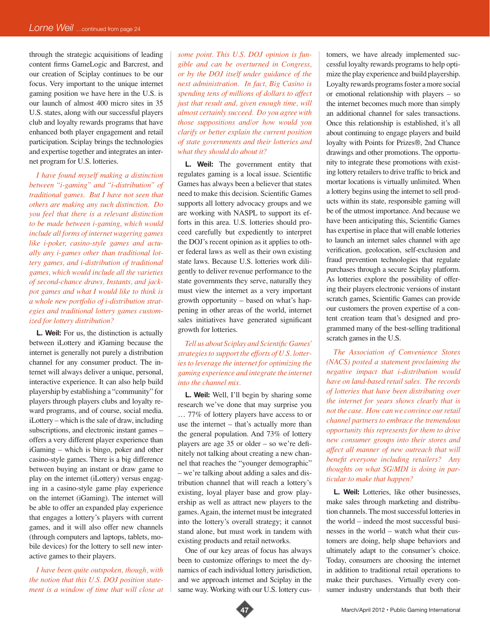through the strategic acquisitions of leading content firms GameLogic and Barcrest, and our creation of Sciplay continues to be our focus. Very important to the unique internet gaming position we have here in the U.S. is our launch of almost 400 micro sites in 35 U.S. states, along with our successful players club and loyalty rewards programs that have enhanced both player engagement and retail participation. Sciplay brings the technologies and expertise together and integrates an internet program for U.S. lotteries.

*I have found myself making a distinction between "i-gaming" and "i-distribution" of traditional games. But I have not seen that others are making any such distinction. Do you feel that there is a relevant distinction to be made between i-gaming, which would include all forms of internet wagering games like i-poker, casino-style games and actually any i-games other than traditional lottery games, and i-distribution of traditional games, which would include all the varieties of second-chance draws, Instants, and jackpot games and what I would like to think is a whole new portfolio of i-distribution strategies and traditional lottery games customized for lottery distribution?*

**L. Weil:** For us, the distinction is actually between iLottery and iGaming because the internet is generally not purely a distribution channel for any consumer product. The internet will always deliver a unique, personal, interactive experience. It can also help build playership by establishing a "community" for players through players clubs and loyalty reward programs, and of course, social media. iLottery – which is the sale of draw, including subscriptions, and electronic instant games – offers a very different player experience than iGaming – which is bingo, poker and other casino-style games. There is a big difference between buying an instant or draw game to play on the internet (iLottery) versus engaging in a casino-style game play experience on the internet (iGaming). The internet will be able to offer an expanded play experience that engages a lottery's players with current games, and it will also offer new channels (through computers and laptops, tablets, mobile devices) for the lottery to sell new interactive games to their players.

*I have been quite outspoken, though, with the notion that this U.S. DOJ position statement is a window of time that will close at*  *some point. This U.S. DOJ opinion is fungible and can be overturned in Congress, or by the DOJ itself under guidance of the next administration. In fact, Big Casino is spending tens of millions of dollars to affect just that result and, given enough time, will almost certainly succeed. Do you agree with those suppositions and/or how would you clarify or better explain the current position of state governments and their lotteries and what they should do about it?* 

**L. Weil:** The government entity that regulates gaming is a local issue. Scientific Games has always been a believer that states need to make this decision. Scientific Games supports all lottery advocacy groups and we are working with NASPL to support its efforts in this area. U.S. lotteries should proceed carefully but expediently to interpret the DOJ's recent opinion as it applies to other federal laws as well as their own existing state laws. Because U.S. lotteries work diligently to deliver revenue performance to the state governments they serve, naturally they must view the internet as a very important growth opportunity – based on what's happening in other areas of the world, internet sales initiatives have generated significant growth for lotteries.

*Tell us about Sciplay and Scientific Games' strategies to support the efforts of U.S. lotteries to leverage the internet for optimizing the gaming experience and integrate the internet into the channel mix.* 

**L. Weil:** Well, I'll begin by sharing some research we've done that may surprise you … 77% of lottery players have access to or use the internet – that's actually more than the general population. And 73% of lottery players are age 35 or older – so we're definitely not talking about creating a new channel that reaches the "younger demographic" – we're talking about adding a sales and distribution channel that will reach a lottery's existing, loyal player base and grow playership as well as attract new players to the games. Again, the internet must be integrated into the lottery's overall strategy; it cannot stand alone, but must work in tandem with existing products and retail networks.

One of our key areas of focus has always been to customize offerings to meet the dynamics of each individual lottery jurisdiction, and we approach internet and Sciplay in the same way. Working with our U.S. lottery customers, we have already implemented successful loyalty rewards programs to help optimize the play experience and build playership. Loyalty rewards programs foster a more social or emotional relationship with players – so the internet becomes much more than simply an additional channel for sales transactions. Once this relationship is established, it's all about continuing to engage players and build loyalty with Points for Prizes®, 2nd Chance drawings and other promotions. The opportunity to integrate these promotions with existing lottery retailers to drive traffic to brick and mortar locations is virtually unlimited. When a lottery begins using the internet to sell products within its state, responsible gaming will be of the utmost importance. And because we have been anticipating this, Scientific Games has expertise in place that will enable lotteries to launch an internet sales channel with age verification, geolocation, self-exclusion and fraud prevention technologies that regulate purchases through a secure Sciplay platform. As lotteries explore the possibility of offering their players electronic versions of instant scratch games, Scientific Games can provide our customers the proven expertise of a content creation team that's designed and programmed many of the best-selling traditional scratch games in the U.S.

*The Association of Convenience Stores (NACS) posted a statement proclaiming the negative impact that i-distribution would have on land-based retail sales. The records of lotteries that have been distributing over the internet for years shows clearly that is not the case. How can we convince our retail channel partners to embrace the tremendous opportunity this represents for them to drive new consumer groups into their stores and affect all manner of new outreach that will benefit everyone including retailers? Any thoughts on what SG/MDI is doing in particular to make that happen?*

**L. Weil:** Lotteries, like other businesses, make sales through marketing and distribution channels. The most successful lotteries in the world – indeed the most successful businesses in the world – watch what their customers are doing, help shape behaviors and ultimately adapt to the consumer's choice. Today, consumers are choosing the internet in addition to traditional retail operations to make their purchases. Virtually every consumer industry understands that both their